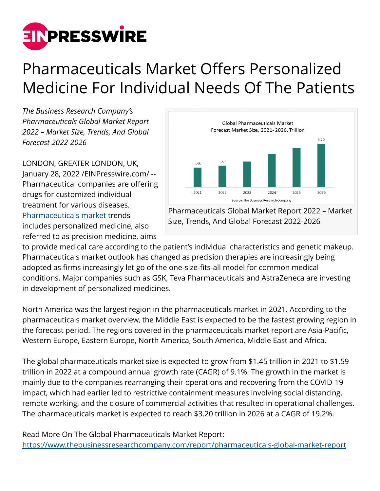

## Pharmaceuticals Market Offers Personalized Medicine For Individual Needs Of The Patients

*The Business Research Company's Pharmaceuticals Global Market Report 2022 – Market Size, Trends, And Global Forecast 2022-2026*

LONDON, GREATER LONDON, UK, January 28, 2022 /[EINPresswire.com](http://www.einpresswire.com)/ -- Pharmaceutical companies are offering drugs for customized individual treatment for various diseases. [Pharmaceuticals market](https://www.thebusinessresearchcompany.com/report/pharmaceuticals-global-market-report) trends includes personalized medicine, also referred to as precision medicine, aims



Pharmaceuticals Global Market Report 2022 – Market Size, Trends, And Global Forecast 2022-2026

to provide medical care according to the patient's individual characteristics and genetic makeup. Pharmaceuticals market outlook has changed as precision therapies are increasingly being adopted as firms increasingly let go of the one-size-fits-all model for common medical conditions. Major companies such as GSK, Teva Pharmaceuticals and AstraZeneca are investing in development of personalized medicines.

North America was the largest region in the pharmaceuticals market in 2021. According to the pharmaceuticals market overview, the Middle East is expected to be the fastest growing region in the forecast period. The regions covered in the pharmaceuticals market report are Asia-Pacific, Western Europe, Eastern Europe, North America, South America, Middle East and Africa.

The global pharmaceuticals market size is expected to grow from \$1.45 trillion in 2021 to \$1.59 trillion in 2022 at a compound annual growth rate (CAGR) of 9.1%. The growth in the market is mainly due to the companies rearranging their operations and recovering from the COVID-19 impact, which had earlier led to restrictive containment measures involving social distancing, remote working, and the closure of commercial activities that resulted in operational challenges. The pharmaceuticals market is expected to reach \$3.20 trillion in 2026 at a CAGR of 19.2%.

Read More On The Global Pharmaceuticals Market Report: <https://www.thebusinessresearchcompany.com/report/pharmaceuticals-global-market-report>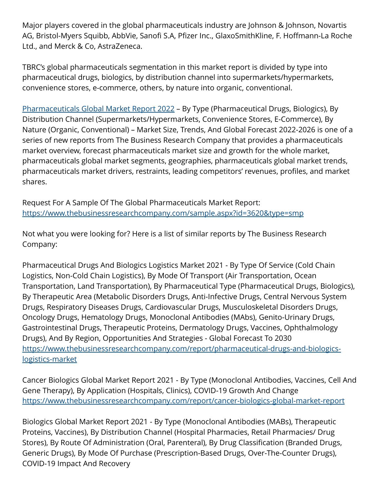Major players covered in the global pharmaceuticals industry are Johnson & Johnson, Novartis AG, Bristol-Myers Squibb, AbbVie, Sanofi S.A, Pfizer Inc., GlaxoSmithKline, F. Hoffmann-La Roche Ltd., and Merck & Co, AstraZeneca.

TBRC's global pharmaceuticals segmentation in this market report is divided by type into pharmaceutical drugs, biologics, by distribution channel into supermarkets/hypermarkets, convenience stores, e-commerce, others, by nature into organic, conventional.

[Pharmaceuticals Global Market Report 2022](https://www.thebusinessresearchcompany.com/report/pharmaceuticals-global-market-report) – By Type (Pharmaceutical Drugs, Biologics), By Distribution Channel (Supermarkets/Hypermarkets, Convenience Stores, E-Commerce), By Nature (Organic, Conventional) – Market Size, Trends, And Global Forecast 2022-2026 is one of a series of new reports from The Business Research Company that provides a pharmaceuticals market overview, forecast pharmaceuticals market size and growth for the whole market, pharmaceuticals global market segments, geographies, pharmaceuticals global market trends, pharmaceuticals market drivers, restraints, leading competitors' revenues, profiles, and market shares.

Request For A Sample Of The Global Pharmaceuticals Market Report: <https://www.thebusinessresearchcompany.com/sample.aspx?id=3620&type=smp>

Not what you were looking for? Here is a list of similar reports by The Business Research Company:

Pharmaceutical Drugs And Biologics Logistics Market 2021 - By Type Of Service (Cold Chain Logistics, Non-Cold Chain Logistics), By Mode Of Transport (Air Transportation, Ocean Transportation, Land Transportation), By Pharmaceutical Type (Pharmaceutical Drugs, Biologics), By Therapeutic Area (Metabolic Disorders Drugs, Anti-Infective Drugs, Central Nervous System Drugs, Respiratory Diseases Drugs, Cardiovascular Drugs, Musculoskeletal Disorders Drugs, Oncology Drugs, Hematology Drugs, Monoclonal Antibodies (MAbs), Genito-Urinary Drugs, Gastrointestinal Drugs, Therapeutic Proteins, Dermatology Drugs, Vaccines, Ophthalmology Drugs), And By Region, Opportunities And Strategies - Global Forecast To 2030 [https://www.thebusinessresearchcompany.com/report/pharmaceutical-drugs-and-biologics](https://www.thebusinessresearchcompany.com/report/pharmaceutical-drugs-and-biologics-logistics-market)[logistics-market](https://www.thebusinessresearchcompany.com/report/pharmaceutical-drugs-and-biologics-logistics-market)

Cancer Biologics Global Market Report 2021 - By Type (Monoclonal Antibodies, Vaccines, Cell And Gene Therapy), By Application (Hospitals, Clinics), COVID-19 Growth And Change <https://www.thebusinessresearchcompany.com/report/cancer-biologics-global-market-report>

Biologics Global Market Report 2021 - By Type (Monoclonal Antibodies (MABs), Therapeutic Proteins, Vaccines), By Distribution Channel (Hospital Pharmacies, Retail Pharmacies/ Drug Stores), By Route Of Administration (Oral, Parenteral), By Drug Classification (Branded Drugs, Generic Drugs), By Mode Of Purchase (Prescription-Based Drugs, Over-The-Counter Drugs), COVID-19 Impact And Recovery